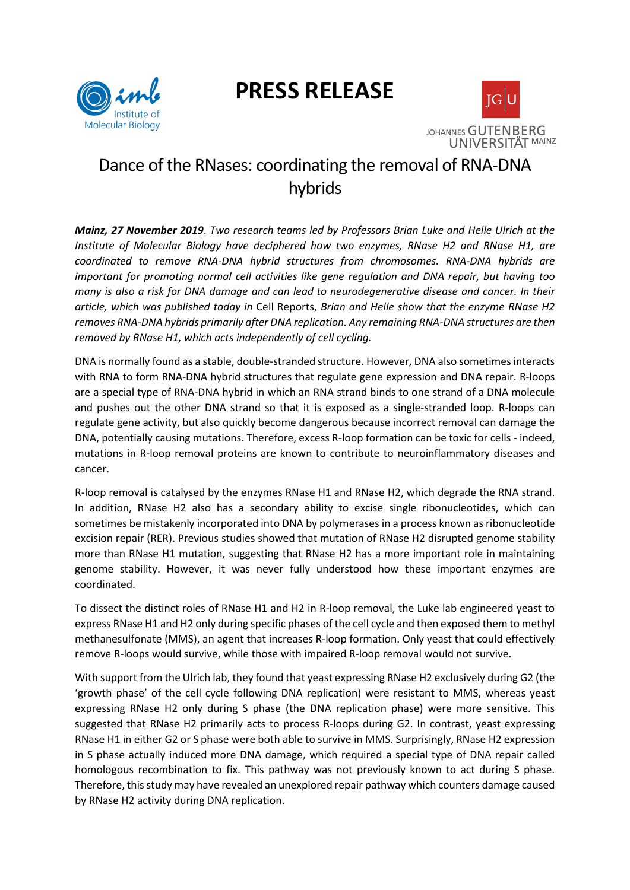# **PRESS RELEASE**





## Dance of the RNases: coordinating the removal of RNA-DNA hybrids

*Mainz, 27 November 2019*. *Two research teams led by Professors Brian Luke and Helle Ulrich at the Institute of Molecular Biology have deciphered how two enzymes, RNase H2 and RNase H1, are coordinated to remove RNA-DNA hybrid structures from chromosomes. RNA-DNA hybrids are important for promoting normal cell activities like gene regulation and DNA repair, but having too many is also a risk for DNA damage and can lead to neurodegenerative disease and cancer. In their article, which was published today in* Cell Reports, *Brian and Helle show that the enzyme RNase H2 removes RNA-DNA hybrids primarily after DNA replication. Any remaining RNA-DNA structures are then removed by RNase H1, which acts independently of cell cycling.*

DNA is normally found as a stable, double-stranded structure. However, DNA also sometimes interacts with RNA to form RNA-DNA hybrid structures that regulate gene expression and DNA repair. R-loops are a special type of RNA-DNA hybrid in which an RNA strand binds to one strand of a DNA molecule and pushes out the other DNA strand so that it is exposed as a single-stranded loop. R-loops can regulate gene activity, but also quickly become dangerous because incorrect removal can damage the DNA, potentially causing mutations. Therefore, excess R-loop formation can be toxic for cells - indeed, mutations in R-loop removal proteins are known to contribute to neuroinflammatory diseases and cancer.

R-loop removal is catalysed by the enzymes RNase H1 and RNase H2, which degrade the RNA strand. In addition, RNase H2 also has a secondary ability to excise single ribonucleotides, which can sometimes be mistakenly incorporated into DNA by polymerases in a process known as ribonucleotide excision repair (RER). Previous studies showed that mutation of RNase H2 disrupted genome stability more than RNase H1 mutation, suggesting that RNase H2 has a more important role in maintaining genome stability. However, it was never fully understood how these important enzymes are coordinated.

To dissect the distinct roles of RNase H1 and H2 in R-loop removal, the Luke lab engineered yeast to express RNase H1 and H2 only during specific phases of the cell cycle and then exposed them to methyl methanesulfonate (MMS), an agent that increases R-loop formation. Only yeast that could effectively remove R-loops would survive, while those with impaired R-loop removal would not survive.

With support from the Ulrich lab, they found that yeast expressing RNase H2 exclusively during G2 (the 'growth phase' of the cell cycle following DNA replication) were resistant to MMS, whereas yeast expressing RNase H2 only during S phase (the DNA replication phase) were more sensitive. This suggested that RNase H2 primarily acts to process R-loops during G2. In contrast, yeast expressing RNase H1 in either G2 or S phase were both able to survive in MMS. Surprisingly, RNase H2 expression in S phase actually induced more DNA damage, which required a special type of DNA repair called homologous recombination to fix. This pathway was not previously known to act during S phase. Therefore, this study may have revealed an unexplored repair pathway which counters damage caused by RNase H2 activity during DNA replication.